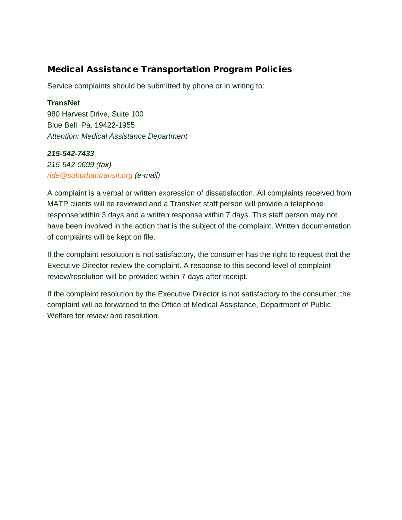## Medical Assistance Transportation Program Policies

Service complaints should be submitted by phone or in writing to:

### **TransNet**

980 Harvest Drive, Suite 100 Blue Bell, Pa. 19422-1955 *Attention: Medical Assistance Department*

## *215-542-7433*

*215-542-0699 (fax) [ride@suburbantransit.org](mailto:ride@suburbantransit.org?subject=Attention:%20Medical%20Assistance%20Department) (e-mail)*

A complaint is a verbal or written expression of dissatisfaction. All complaints received from MATP clients will be reviewed and a TransNet staff person will provide a telephone response within 3 days and a written response within 7 days. This staff person may not have been involved in the action that is the subject of the complaint. Written documentation of complaints will be kept on file.

If the complaint resolution is not satisfactory, the consumer has the right to request that the Executive Director review the complaint. A response to this second level of complaint review/resolution will be provided within 7 days after receipt.

If the complaint resolution by the Executive Director is not satisfactory to the consumer, the complaint will be forwarded to the Office of Medical Assistance, Department of Public Welfare for review and resolution.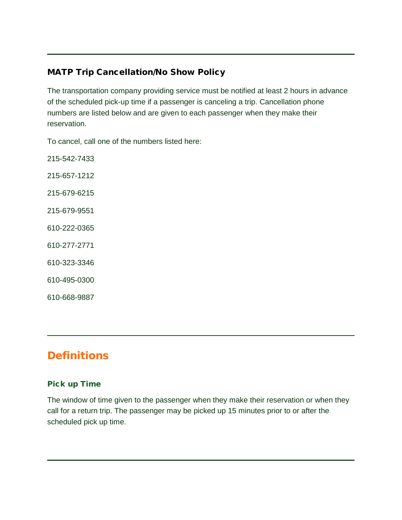# MATP Trip Cancellation/No Show Policy

The transportation company providing service must be notified at least 2 hours in advance of the scheduled pick-up time if a passenger is canceling a trip. Cancellation phone numbers are listed below and are given to each passenger when they make their reservation.

To cancel, call one of the numbers listed here:

215-542-7433 215-657-1212 215-679-6215 215-679-9551 610-222-0365 610-277-2771 610-323-3346 610-495-0300

610-668-9887

# **Definitions**

#### Pick up Time

The window of time given to the passenger when they make their reservation or when they call for a return trip. The passenger may be picked up 15 minutes prior to or after the scheduled pick up time.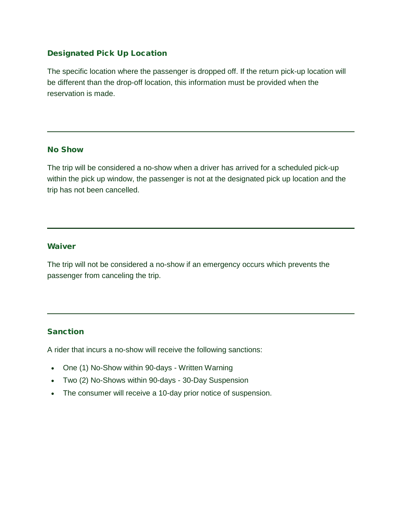#### Designated Pick Up Location

The specific location where the passenger is dropped off. If the return pick-up location will be different than the drop-off location, this information must be provided when the reservation is made.

#### No Show

The trip will be considered a no-show when a driver has arrived for a scheduled pick-up within the pick up window, the passenger is not at the designated pick up location and the trip has not been cancelled.

#### Waiver

The trip will not be considered a no-show if an emergency occurs which prevents the passenger from canceling the trip.

#### **Sanction**

A rider that incurs a no-show will receive the following sanctions:

- One (1) No-Show within 90-days Written Warning
- Two (2) No-Shows within 90-days 30-Day Suspension
- The consumer will receive a 10-day prior notice of suspension.